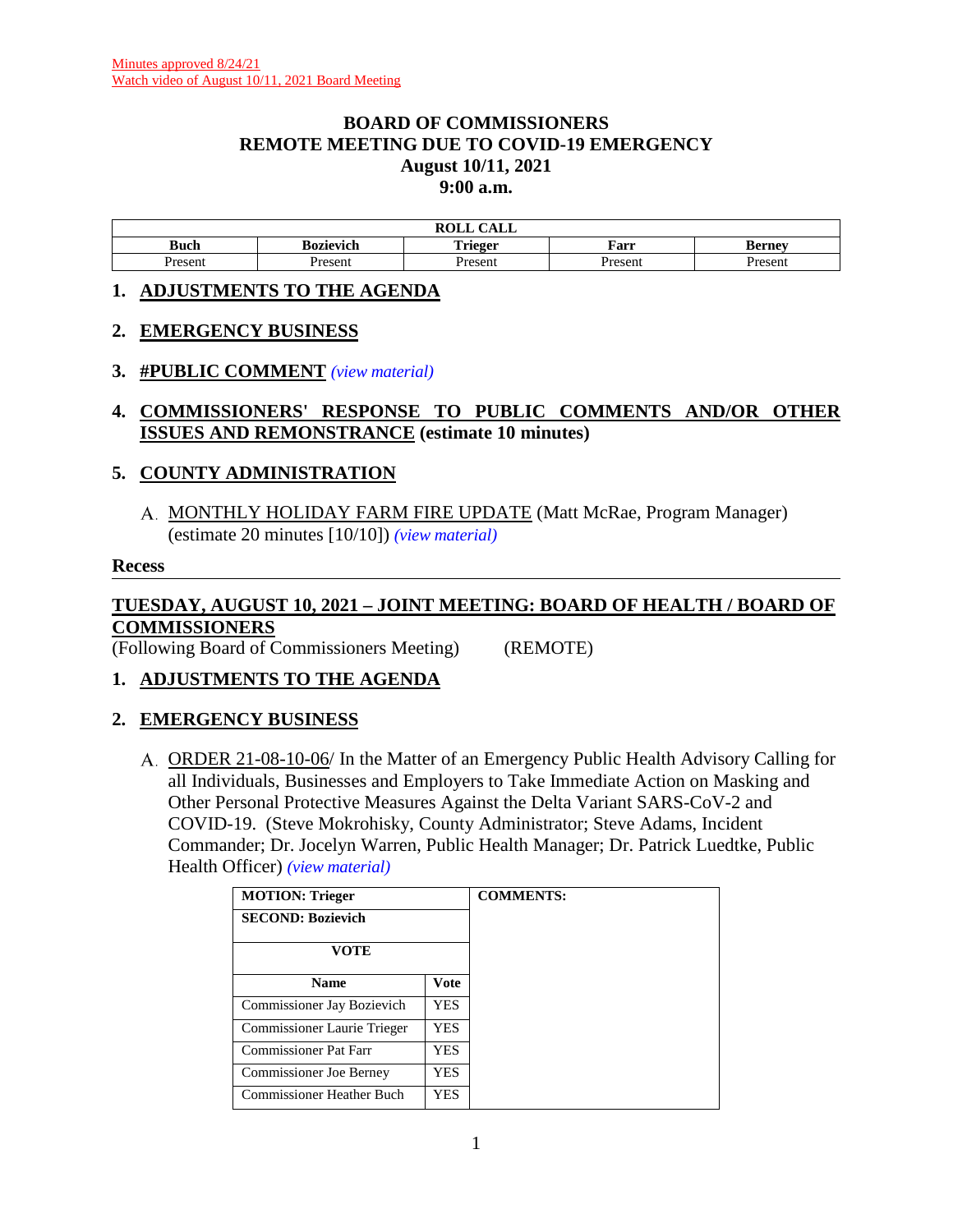### **BOARD OF COMMISSIONERS REMOTE MEETING DUE TO COVID-19 EMERGENCY August 10/11, 2021 9:00 a.m.**

|        |           | $\sim$ $\sim$ $\sim$<br>$\mathbf{M}$<br><b>KOLL</b><br>САЫС |         |                       |
|--------|-----------|-------------------------------------------------------------|---------|-----------------------|
| Buch   | Bozievich | m. .<br>`rieger                                             | Farr    | Bernev                |
| resent | Present   | resen                                                       | Present | <i>r</i> acan<br>эсн. |

### **1. ADJUSTMENTS TO THE AGENDA**

### **2. EMERGENCY BUSINESS**

### **3. #PUBLIC COMMENT** *[\(view material\)](http://www.lanecountyor.gov/UserFiles/Servers/Server_3585797/File/Government/BCC/2021/2021_AGENDAS/081021agenda/T.3.pdf)*

**4. COMMISSIONERS' RESPONSE TO PUBLIC COMMENTS AND/OR OTHER ISSUES AND REMONSTRANCE (estimate 10 minutes)**

# **5. COUNTY ADMINISTRATION**

A. MONTHLY HOLIDAY FARM FIRE UPDATE (Matt McRae, Program Manager) (estimate 20 minutes [10/10]) *[\(view material\)](http://www.lanecountyor.gov/UserFiles/Servers/Server_3585797/File/Government/BCC/2021/2021_AGENDAS/081021agenda/T.5.A.pdf)*

#### **Recess**

# **TUESDAY, AUGUST 10, 2021 – JOINT MEETING: BOARD OF HEALTH / BOARD OF COMMISSIONERS**

(Following Board of Commissioners Meeting) (REMOTE)

# **1. ADJUSTMENTS TO THE AGENDA**

# **2. EMERGENCY BUSINESS**

ORDER 21-08-10-06/ In the Matter of an Emergency Public Health Advisory Calling for all Individuals, Businesses and Employers to Take Immediate Action on Masking and Other Personal Protective Measures Against the Delta Variant SARS-CoV-2 and COVID-19. (Steve Mokrohisky, County Administrator; Steve Adams, Incident Commander; Dr. Jocelyn Warren, Public Health Manager; Dr. Patrick Luedtke, Public Health Officer) *[\(view material\)](http://www.lanecountyor.gov/UserFiles/Servers/Server_3585797/File/Government/BCC/2021/2021_AGENDAS/081021agenda/T.2.A.pdf)*

| <b>MOTION: Trieger</b>         |             | <b>COMMENTS:</b> |
|--------------------------------|-------------|------------------|
| <b>SECOND: Bozievich</b>       |             |                  |
| VOTE                           |             |                  |
| <b>Name</b>                    | <b>Vote</b> |                  |
| Commissioner Jay Bozievich     | YES.        |                  |
| Commissioner Laurie Trieger    | YES         |                  |
| Commissioner Pat Farr          | YES         |                  |
| <b>Commissioner Joe Berney</b> | YES.        |                  |
| Commissioner Heather Buch      | YES         |                  |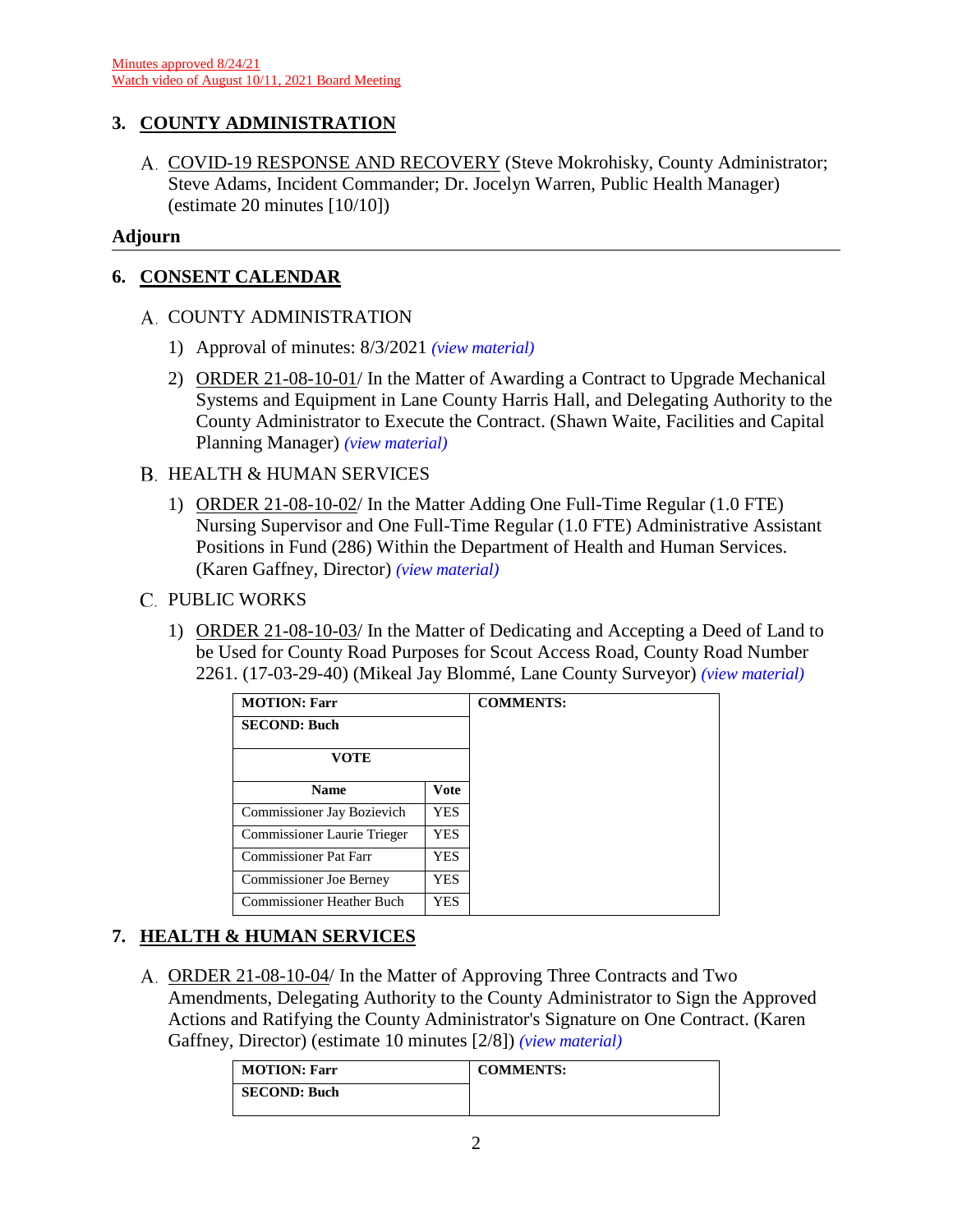# **3. COUNTY ADMINISTRATION**

A. COVID-19 RESPONSE AND RECOVERY (Steve Mokrohisky, County Administrator; Steve Adams, Incident Commander; Dr. Jocelyn Warren, Public Health Manager) (estimate 20 minutes [10/10])

### **Adjourn**

# **6. CONSENT CALENDAR**

# A. COUNTY ADMINISTRATION

- 1) Approval of minutes: 8/3/2021 *[\(view material\)](http://www.lanecountyor.gov/UserFiles/Servers/Server_3585797/File/Government/BCC/2021/2021_AGENDAS/081021agenda/T.6.A.1.pdf)*
- 2) ORDER 21-08-10-01/ In the Matter of Awarding a Contract to Upgrade Mechanical Systems and Equipment in Lane County Harris Hall, and Delegating Authority to the County Administrator to Execute the Contract. (Shawn Waite, Facilities and Capital Planning Manager) *[\(view material\)](http://www.lanecountyor.gov/UserFiles/Servers/Server_3585797/File/Government/BCC/2021/2021_AGENDAS/081021agenda/T.6.A.2.pdf)*

### B. HEALTH & HUMAN SERVICES

1) ORDER 21-08-10-02/ In the Matter Adding One Full-Time Regular (1.0 FTE) Nursing Supervisor and One Full-Time Regular (1.0 FTE) Administrative Assistant Positions in Fund (286) Within the Department of Health and Human Services. (Karen Gaffney, Director) *[\(view material\)](http://www.lanecountyor.gov/UserFiles/Servers/Server_3585797/File/Government/BCC/2021/2021_AGENDAS/081021agenda/T.6.B.1.pdf)*

### C. PUBLIC WORKS

1) ORDER 21-08-10-03/ In the Matter of Dedicating and Accepting a Deed of Land to be Used for County Road Purposes for Scout Access Road, County Road Number 2261. (17-03-29-40) (Mikeal Jay Blommé, Lane County Surveyor) *[\(view material\)](http://www.lanecountyor.gov/UserFiles/Servers/Server_3585797/File/Government/BCC/2021/2021_AGENDAS/081021agenda/T.6.C.1.pdf)*

| <b>MOTION: Farr</b>              |            | <b>COMMENTS:</b> |
|----------------------------------|------------|------------------|
| <b>SECOND: Buch</b>              |            |                  |
| <b>VOTE</b>                      |            |                  |
| <b>Name</b>                      | Vote       |                  |
| Commissioner Jay Bozievich       | <b>YES</b> |                  |
| Commissioner Laurie Trieger      | YES        |                  |
| <b>Commissioner Pat Farr</b>     | YES        |                  |
| Commissioner Joe Berney          | YES.       |                  |
| <b>Commissioner Heather Buch</b> | YES        |                  |

# **7. HEALTH & HUMAN SERVICES**

ORDER 21-08-10-04/ In the Matter of Approving Three Contracts and Two Amendments, Delegating Authority to the County Administrator to Sign the Approved Actions and Ratifying the County Administrator's Signature on One Contract. (Karen Gaffney, Director) (estimate 10 minutes [2/8]) *[\(view material\)](http://www.lanecountyor.gov/UserFiles/Servers/Server_3585797/File/Government/BCC/2021/2021_AGENDAS/081021agenda/T.7.A.pdf)*

| MOTION: Farr        | <b>COMMENTS:</b> |
|---------------------|------------------|
| <b>SECOND: Buch</b> |                  |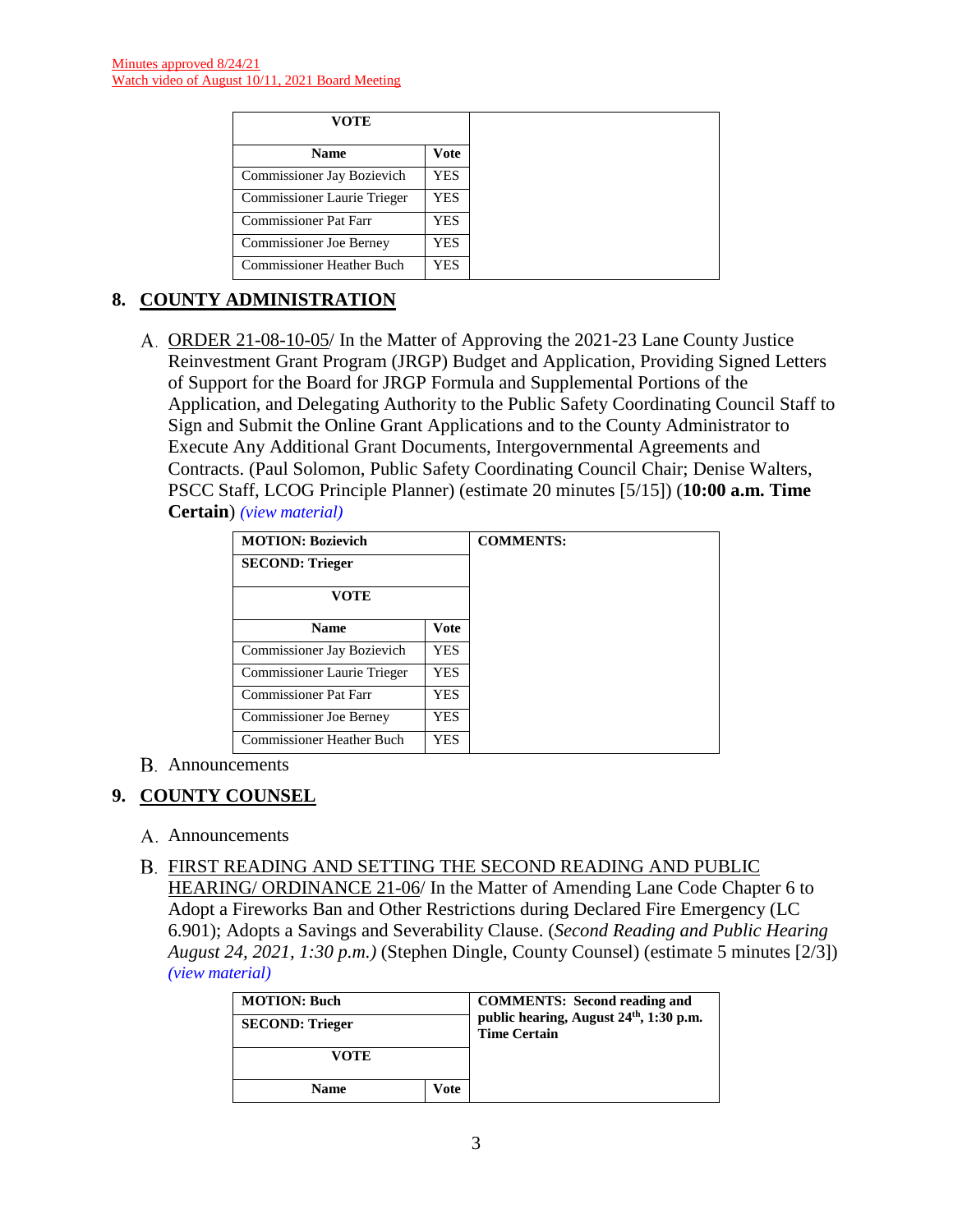| VOTE                           |             |
|--------------------------------|-------------|
| <b>Name</b>                    | <b>Vote</b> |
| Commissioner Jay Bozievich     | YES.        |
| Commissioner Laurie Trieger    | YES.        |
| Commissioner Pat Farr          | YES.        |
| <b>Commissioner Joe Berney</b> | YES         |
| Commissioner Heather Buch      | YES.        |

# **8. COUNTY ADMINISTRATION**

A. ORDER 21-08-10-05/ In the Matter of Approving the 2021-23 Lane County Justice Reinvestment Grant Program (JRGP) Budget and Application, Providing Signed Letters of Support for the Board for JRGP Formula and Supplemental Portions of the Application, and Delegating Authority to the Public Safety Coordinating Council Staff to Sign and Submit the Online Grant Applications and to the County Administrator to Execute Any Additional Grant Documents, Intergovernmental Agreements and Contracts. (Paul Solomon, Public Safety Coordinating Council Chair; Denise Walters, PSCC Staff, LCOG Principle Planner) (estimate 20 minutes [5/15]) (**10:00 a.m. Time Certain**) *[\(view material\)](http://www.lanecountyor.gov/UserFiles/Servers/Server_3585797/File/Government/BCC/2021/2021_AGENDAS/081021agenda/T.8.A.pdf)*

| <b>MOTION: Bozievich</b>    |             |
|-----------------------------|-------------|
| <b>SECOND: Trieger</b>      |             |
| <b>VOTE</b>                 |             |
| <b>Name</b>                 | <b>Vote</b> |
| Commissioner Jay Bozievich  | YES.        |
| Commissioner Laurie Trieger | YES.        |
| Commissioner Pat Farr       | YES.        |
| Commissioner Joe Berney     | YES         |
| Commissioner Heather Buch   | YES.        |

#### Announcements

# **9. COUNTY COUNSEL**

- A. Announcements
- FIRST READING AND SETTING THE SECOND READING AND PUBLIC HEARING/ ORDINANCE 21-06/ In the Matter of Amending Lane Code Chapter 6 to Adopt a Fireworks Ban and Other Restrictions during Declared Fire Emergency (LC 6.901); Adopts a Savings and Severability Clause. (*Second Reading and Public Hearing August 24, 2021, 1:30 p.m.)* (Stephen Dingle, County Counsel) (estimate 5 minutes [2/3]) *[\(view material\)](http://www.lanecountyor.gov/UserFiles/Servers/Server_3585797/File/Government/BCC/2021/2021_AGENDAS/081021agenda/T.9.B.pdf)*

| <b>MOTION: Buch</b>    |      | <b>COMMENTS:</b> Second reading and<br>public hearing, August 24th, 1:30 p.m. |
|------------------------|------|-------------------------------------------------------------------------------|
| <b>SECOND: Trieger</b> |      | <b>Time Certain</b>                                                           |
| VOTE                   |      |                                                                               |
| <b>Name</b>            | Vote |                                                                               |